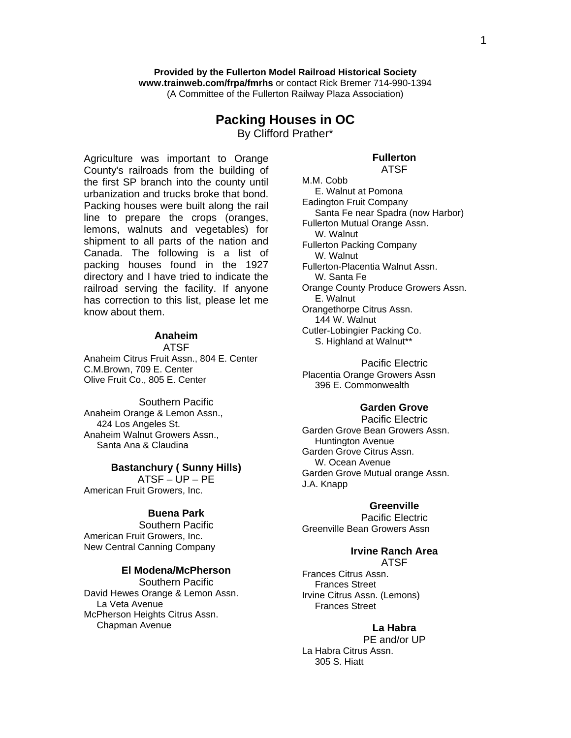1

#### **Provided by the Fullerton Model Railroad Historical Society www.trainweb.com/frpa/fmrhs** or contact Rick Bremer 714-990-1394 (A Committee of the Fullerton Railway Plaza Association)

# **Packing Houses in OC**

By Clifford Prather\*

Agriculture was important to Orange County's railroads from the building of the first SP branch into the county until urbanization and trucks broke that bond. Packing houses were built along the rail line to prepare the crops (oranges, lemons, walnuts and vegetables) for shipment to all parts of the nation and Canada. The following is a list of packing houses found in the 1927 directory and I have tried to indicate the railroad serving the facility. If anyone has correction to this list, please let me know about them.

# **Anaheim**

ATSF

Anaheim Citrus Fruit Assn., 804 E. Center C.M.Brown, 709 E. Center Olive Fruit Co., 805 E. Center

Southern Pacific Anaheim Orange & Lemon Assn., 424 Los Angeles St. Anaheim Walnut Growers Assn., Santa Ana & Claudina

#### **Bastanchury ( Sunny Hills)**

ATSF – UP – PE American Fruit Growers, Inc.

### **Buena Park**

Southern Pacific American Fruit Growers, Inc. New Central Canning Company

### **El Modena/McPherson**

Southern Pacific David Hewes Orange & Lemon Assn. La Veta Avenue McPherson Heights Citrus Assn. Chapman Avenue

ATSF M.M. Cobb E. Walnut at Pomona Eadington Fruit Company Santa Fe near Spadra (now Harbor) Fullerton Mutual Orange Assn. W. Walnut Fullerton Packing Company W. Walnut Fullerton-Placentia Walnut Assn. W. Santa Fe Orange County Produce Growers Assn. E. Walnut Orangethorpe Citrus Assn. 144 W. Walnut Cutler-Lobingier Packing Co. S. Highland at Walnut\*\*

**Fullerton** 

Pacific Electric Placentia Orange Growers Assn 396 E. Commonwealth

### **Garden Grove**

Pacific Electric Garden Grove Bean Growers Assn. Huntington Avenue Garden Grove Citrus Assn. W. Ocean Avenue Garden Grove Mutual orange Assn. J.A. Knapp

#### **Greenville**

Pacific Electric Greenville Bean Growers Assn

#### **Irvine Ranch Area**  ATSF

Frances Citrus Assn. Frances Street Irvine Citrus Assn. (Lemons) Frances Street

#### **La Habra**

PE and/or UP La Habra Citrus Assn. 305 S. Hiatt